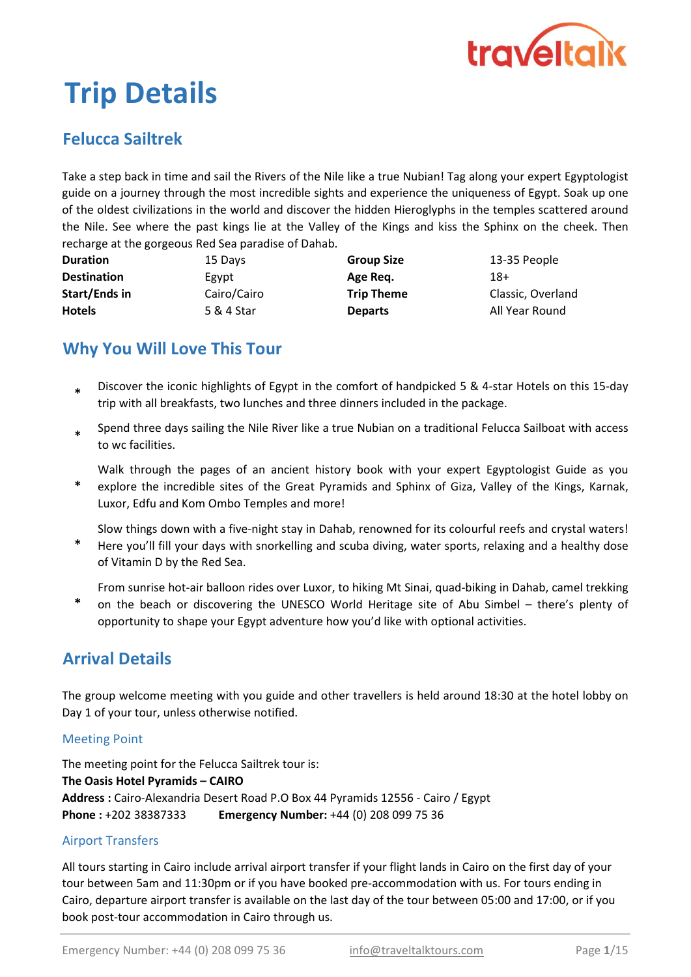

# Trip Details

# Felucca Sailtrek

Take a step back in time and sail the Rivers of the Nile like a true Nubian! Tag along your expert Egyptologist guide on a journey through the most incredible sights and experience the uniqueness of Egypt. Soak up one of the oldest civilizations in the world and discover the hidden Hieroglyphs in the temples scattered around the Nile. See where the past kings lie at the Valley of the Kings and kiss the Sphinx on the cheek. Then recharge at the gorgeous Red Sea paradise of Dahab.

| <b>Duration</b>    | 15 Days     | <b>Group Size</b> | 13-35 People      |  |  |
|--------------------|-------------|-------------------|-------------------|--|--|
| <b>Destination</b> | Egypt       | Age Reg.          | 18+               |  |  |
| Start/Ends in      | Cairo/Cairo | <b>Trip Theme</b> | Classic, Overland |  |  |
| <b>Hotels</b>      | 5 & 4 Star  | <b>Departs</b>    | All Year Round    |  |  |

# Why You Will Love This Tour

- Discover the iconic highlights of Egypt in the comfort of handpicked 5 & 4-star Hotels on this 15-day trip with all breakfasts, two lunches and three dinners included in the package. \*
- \* Spend three days sailing the Nile River like a true Nubian on a traditional Felucca Sailboat with access to wc facilities.
- \* Walk through the pages of an ancient history book with your expert Egyptologist Guide as you explore the incredible sites of the Great Pyramids and Sphinx of Giza, Valley of the Kings, Karnak, Luxor, Edfu and Kom Ombo Temples and more!

\* Slow things down with a five-night stay in Dahab, renowned for its colourful reefs and crystal waters! Here you'll fill your days with snorkelling and scuba diving, water sports, relaxing and a healthy dose

of Vitamin D by the Red Sea.

From sunrise hot-air balloon rides over Luxor, to hiking Mt Sinai, quad-biking in Dahab, camel trekking

\* on the beach or discovering the UNESCO World Heritage site of Abu Simbel – there's plenty of opportunity to shape your Egypt adventure how you'd like with optional activities.

# Arrival Details

The group welcome meeting with you guide and other travellers is held around 18:30 at the hotel lobby on Day 1 of your tour, unless otherwise notified.

#### Meeting Point

Address : Cairo-Alexandria Desert Road P.O Box 44 Pyramids 12556 - Cairo / Egypt Phone : +202 38387333 Emergency Number: +44 (0) 208 099 75 36 The meeting point for the Felucca Sailtrek tour is: The Oasis Hotel Pyramids – CAIRO

#### Airport Transfers

All tours starting in Cairo include arrival airport transfer if your flight lands in Cairo on the first day of your tour between 5am and 11:30pm or if you have booked pre-accommodation with us. For tours ending in Cairo, departure airport transfer is available on the last day of the tour between 05:00 and 17:00, or if you book post-tour accommodation in Cairo through us.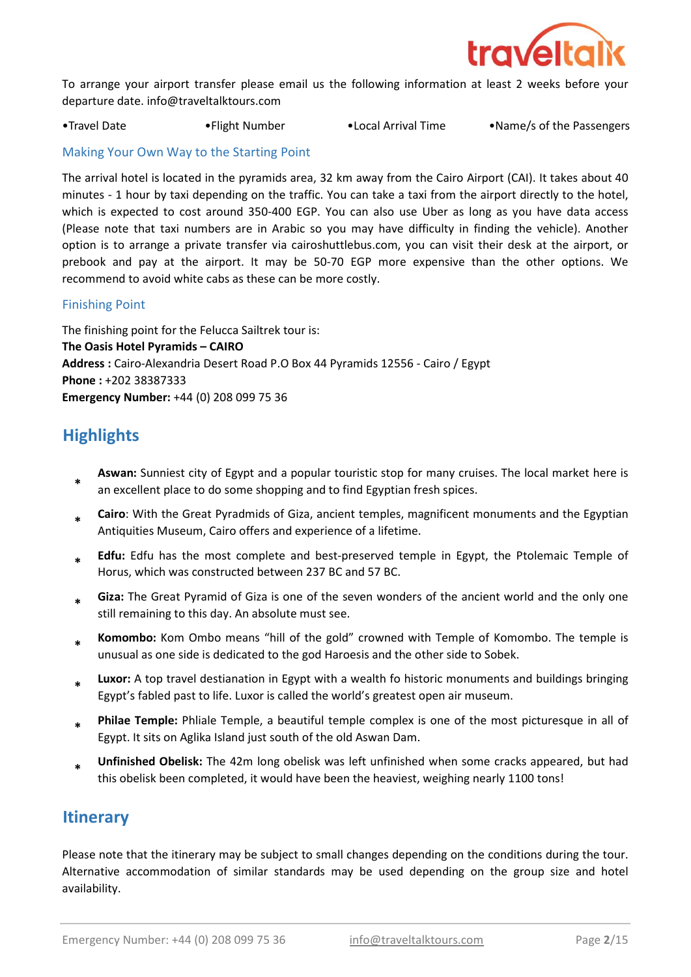

To arrange your airport transfer please email us the following information at least 2 weeks before your departure date. info@traveltalktours.com

•Travel Date •Flight Number •Local Arrival Time •Name/s of the Passengers

#### Making Your Own Way to the Starting Point

The arrival hotel is located in the pyramids area, 32 km away from the Cairo Airport (CAI). It takes about 40 minutes - 1 hour by taxi depending on the traffic. You can take a taxi from the airport directly to the hotel, which is expected to cost around 350-400 EGP. You can also use Uber as long as you have data access (Please note that taxi numbers are in Arabic so you may have difficulty in finding the vehicle). Another option is to arrange a private transfer via cairoshuttlebus.com, you can visit their desk at the airport, or prebook and pay at the airport. It may be 50-70 EGP more expensive than the other options. We recommend to avoid white cabs as these can be more costly.

#### Finishing Point

The finishing point for the Felucca Sailtrek tour is: The Oasis Hotel Pyramids – CAIRO Address : Cairo-Alexandria Desert Road P.O Box 44 Pyramids 12556 - Cairo / Egypt Emergency Number: +44 (0) 208 099 75 36 Phone : +202 38387333

# **Highlights**

- \* Aswan: Sunniest city of Egypt and a popular touristic stop for many cruises. The local market here is an excellent place to do some shopping and to find Egyptian fresh spices.
- \* Cairo: With the Great Pyradmids of Giza, ancient temples, magnificent monuments and the Egyptian Antiquities Museum, Cairo offers and experience of a lifetime.
- \* Edfu: Edfu has the most complete and best-preserved temple in Egypt, the Ptolemaic Temple of Horus, which was constructed between 237 BC and 57 BC.
- \* Giza: The Great Pyramid of Giza is one of the seven wonders of the ancient world and the only one still remaining to this day. An absolute must see.
- \* Komombo: Kom Ombo means "hill of the gold" crowned with Temple of Komombo. The temple is unusual as one side is dedicated to the god Haroesis and the other side to Sobek.
- \* Luxor: A top travel destianation in Egypt with a wealth fo historic monuments and buildings bringing Egypt's fabled past to life. Luxor is called the world's greatest open air museum.
- \* Philae Temple: Phliale Temple, a beautiful temple complex is one of the most picturesque in all of Egypt. It sits on Aglika Island just south of the old Aswan Dam.
- \* Unfinished Obelisk: The 42m long obelisk was left unfinished when some cracks appeared, but had this obelisk been completed, it would have been the heaviest, weighing nearly 1100 tons!

## **Itinerary**

Please note that the itinerary may be subject to small changes depending on the conditions during the tour. Alternative accommodation of similar standards may be used depending on the group size and hotel availability.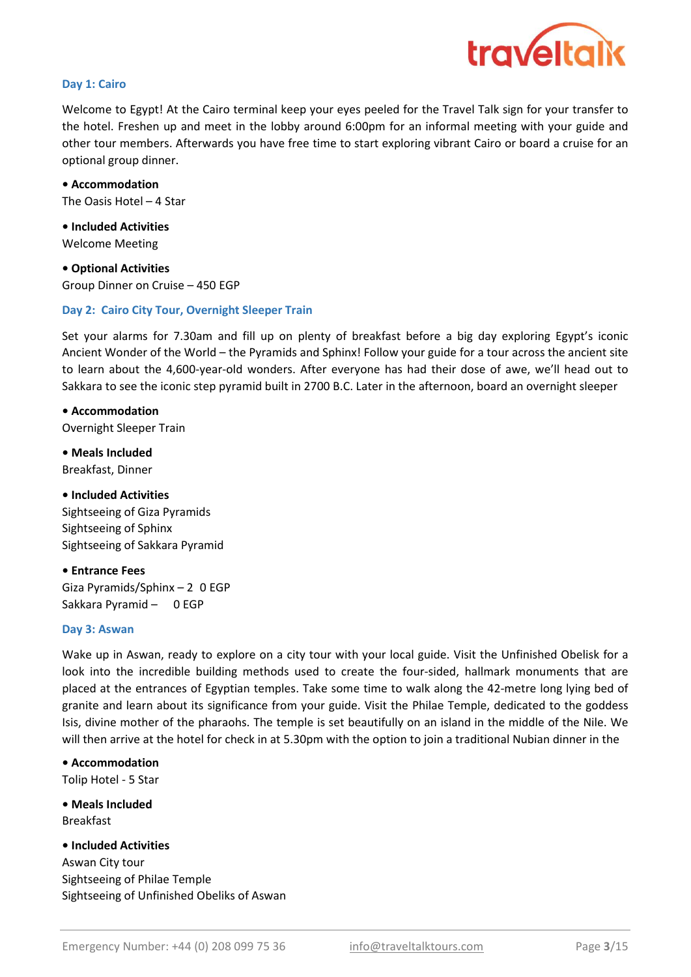

#### Day 1: Cairo

Welcome to Egypt! At the Cairo terminal keep your eyes peeled for the Travel Talk sign for your transfer to the hotel. Freshen up and meet in the lobby around 6:00pm for an informal meeting with your guide and other tour members. Afterwards you have free time to start exploring vibrant Cairo or board a cruise for an optional group dinner.

• Accommodation The Oasis Hotel – 4 Star

• Included Activities Welcome Meeting

• Optional Activities Group Dinner on Cruise – 450 EGP

#### Day 2: Cairo City Tour, Overnight Sleeper Train

Set your alarms for 7.30am and fill up on plenty of breakfast before a big day exploring Egypt's iconic Ancient Wonder of the World – the Pyramids and Sphinx! Follow your guide for a tour across the ancient site to learn about the 4,600-year-old wonders. After everyone has had their dose of awe, we'll head out to Sakkara to see the iconic step pyramid built in 2700 B.C. Later in the afternoon, board an overnight sleeper

• Accommodation Overnight Sleeper Train

• Meals Included Breakfast, Dinner

• Included Activities Sightseeing of Giza Pyramids Sightseeing of Sphinx Sightseeing of Sakkara Pyramid

• Entrance Fees Giza Pyramids/Sphinx – 240 EGP Sakkara Pyramid - 200 EGP

#### Day 3: Aswan

Wake up in Aswan, ready to explore on a city tour with your local guide. Visit the Unfinished Obelisk for a look into the incredible building methods used to create the four-sided, hallmark monuments that are placed at the entrances of Egyptian temples. Take some time to walk along the 42-metre long lying bed of granite and learn about its significance from your guide. Visit the Philae Temple, dedicated to the goddess Isis, divine mother of the pharaohs. The temple is set beautifully on an island in the middle of the Nile. We will then arrive at the hotel for check in at 5.30pm with the option to join a traditional Nubian dinner in the

• Accommodation Tolip Hotel - 5 Star

• Meals Included Breakfast

Aswan City tour Sightseeing of Philae Temple Sightseeing of Unfinished Obeliks of Aswan • Included Activities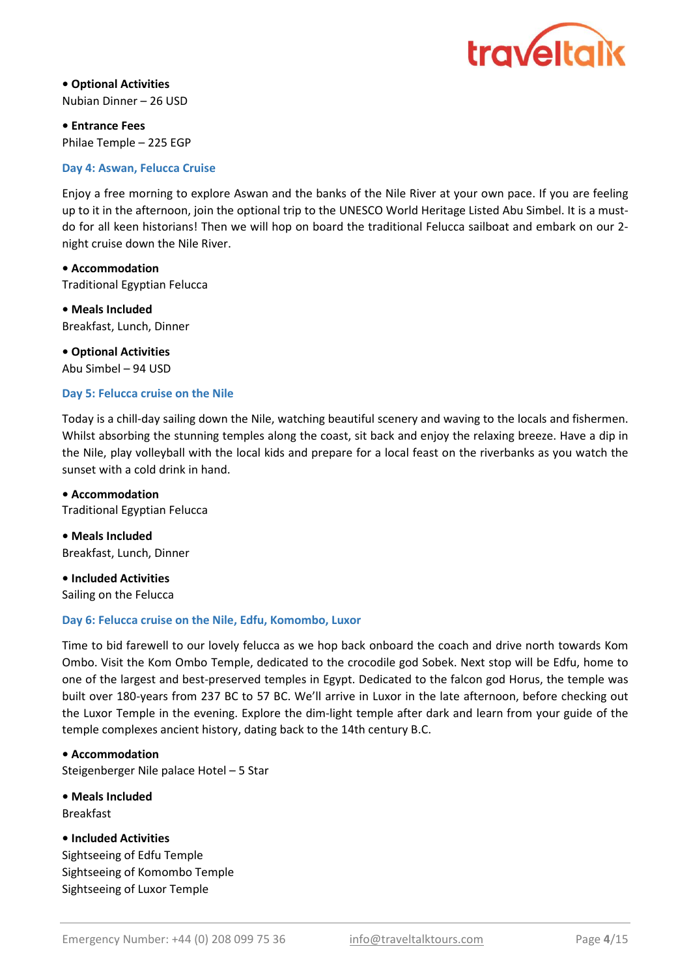

• Optional Activities Nubian Dinner – 26 USD

• Entrance Fees Philae Temple – 225 EGP

#### Day 4: Aswan, Felucca Cruise

Enjoy a free morning to explore Aswan and the banks of the Nile River at your own pace. If you are feeling up to it in the afternoon, join the optional trip to the UNESCO World Heritage Listed Abu Simbel. It is a mustdo for all keen historians! Then we will hop on board the traditional Felucca sailboat and embark on our 2 night cruise down the Nile River.

• Accommodation Traditional Egyptian Felucca

Breakfast, Lunch, Dinner • Meals Included

Abu Simbel – 94 USD • Optional Activities

#### Day 5: Felucca cruise on the Nile

Today is a chill-day sailing down the Nile, watching beautiful scenery and waving to the locals and fishermen. Whilst absorbing the stunning temples along the coast, sit back and enjoy the relaxing breeze. Have a dip in the Nile, play volleyball with the local kids and prepare for a local feast on the riverbanks as you watch the sunset with a cold drink in hand.

Traditional Egyptian Felucca • Accommodation

Breakfast, Lunch, Dinner • Meals Included

Sailing on the Felucca • Included Activities

#### Day 6: Felucca cruise on the Nile, Edfu, Komombo, Luxor

Time to bid farewell to our lovely felucca as we hop back onboard the coach and drive north towards Kom Ombo. Visit the Kom Ombo Temple, dedicated to the crocodile god Sobek. Next stop will be Edfu, home to one of the largest and best-preserved temples in Egypt. Dedicated to the falcon god Horus, the temple was built over 180-years from 237 BC to 57 BC. We'll arrive in Luxor in the late afternoon, before checking out the Luxor Temple in the evening. Explore the dim-light temple after dark and learn from your guide of the temple complexes ancient history, dating back to the 14th century B.C.

Steigenberger Nile palace Hotel – 5 Star • Accommodation

• Meals Included Breakfast

Sightseeing of Komombo Temple Sightseeing of Luxor Temple • Included Activities Sightseeing of Edfu Temple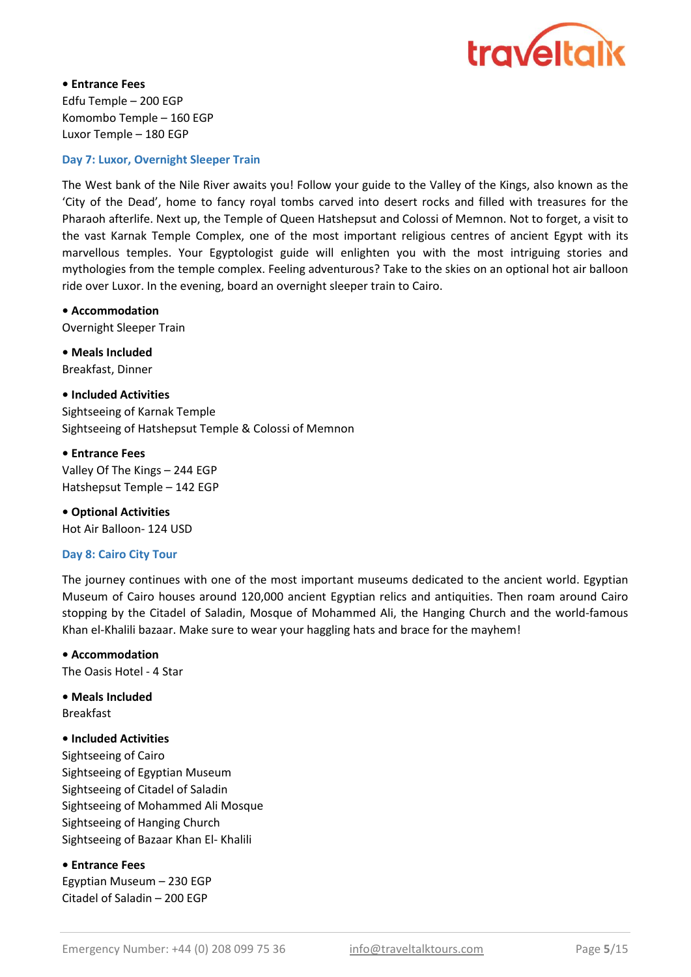

• Entrance Fees Edfu Temple – 200 EGP Komombo Temple – 160 EGP Luxor Temple – 180 EGP

#### Day 7: Luxor, Overnight Sleeper Train

The West bank of the Nile River awaits you! Follow your guide to the Valley of the Kings, also known as the 'City of the Dead', home to fancy royal tombs carved into desert rocks and filled with treasures for the Pharaoh afterlife. Next up, the Temple of Queen Hatshepsut and Colossi of Memnon. Not to forget, a visit to the vast Karnak Temple Complex, one of the most important religious centres of ancient Egypt with its marvellous temples. Your Egyptologist guide will enlighten you with the most intriguing stories and mythologies from the temple complex. Feeling adventurous? Take to the skies on an optional hot air balloon ride over Luxor. In the evening, board an overnight sleeper train to Cairo.

#### • Accommodation

Overnight Sleeper Train

Breakfast, Dinner • Meals Included

Sightseeing of Karnak Temple Sightseeing of Hatshepsut Temple & Colossi of Memnon • Included Activities

Hatshepsut Temple – 142 EGP • Entrance Fees Valley Of The Kings – 244 EGP

Hot Air Balloon- 124 USD • Optional Activities

#### Day 8: Cairo City Tour

The journey continues with one of the most important museums dedicated to the ancient world. Egyptian Museum of Cairo houses around 120,000 ancient Egyptian relics and antiquities. Then roam around Cairo stopping by the Citadel of Saladin, Mosque of Mohammed Ali, the Hanging Church and the world-famous Khan el-Khalili bazaar. Make sure to wear your haggling hats and brace for the mayhem!

#### • Accommodation

The Oasis Hotel - 4 Star

• Meals Included Breakfast

#### • Included Activities

Sightseeing of Cairo Sightseeing of Egyptian Museum Sightseeing of Citadel of Saladin Sightseeing of Mohammed Ali Mosque Sightseeing of Hanging Church Sightseeing of Bazaar Khan El- Khalili

#### • Entrance Fees

Egyptian Museum – 230 EGP Citadel of Saladin – 200 EGP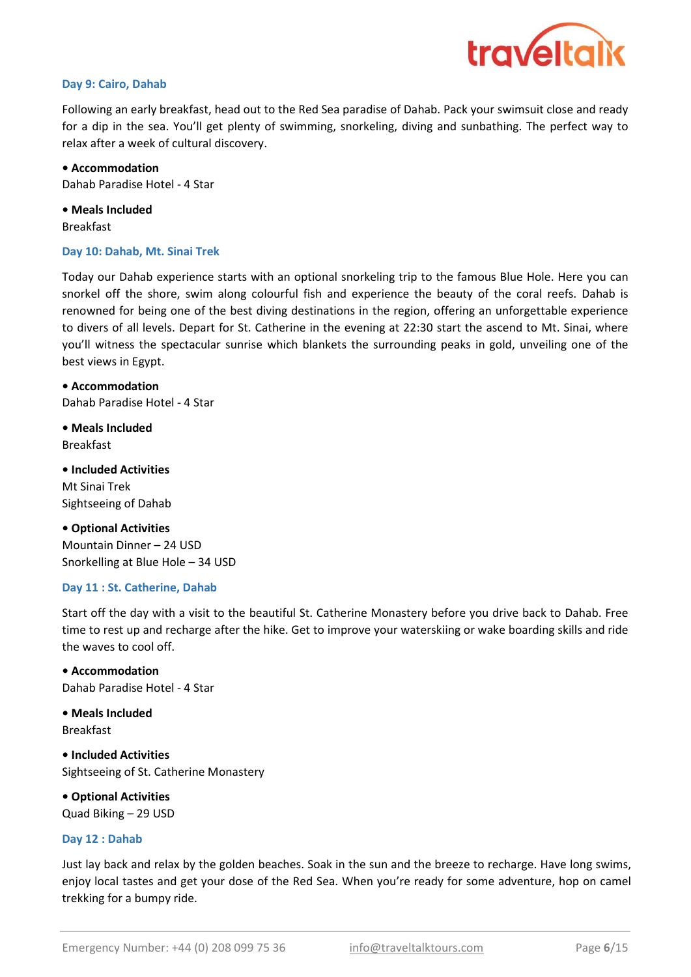

#### Day 9: Cairo, Dahab

Following an early breakfast, head out to the Red Sea paradise of Dahab. Pack your swimsuit close and ready for a dip in the sea. You'll get plenty of swimming, snorkeling, diving and sunbathing. The perfect way to relax after a week of cultural discovery.

• Accommodation Dahab Paradise Hotel - 4 Star

• Meals Included Breakfast

#### Day 10: Dahab, Mt. Sinai Trek

Today our Dahab experience starts with an optional snorkeling trip to the famous Blue Hole. Here you can snorkel off the shore, swim along colourful fish and experience the beauty of the coral reefs. Dahab is renowned for being one of the best diving destinations in the region, offering an unforgettable experience to divers of all levels. Depart for St. Catherine in the evening at 22:30 start the ascend to Mt. Sinai, where you'll witness the spectacular sunrise which blankets the surrounding peaks in gold, unveiling one of the best views in Egypt.

• Accommodation Dahab Paradise Hotel - 4 Star

Breakfast • Meals Included

Mt Sinai Trek Sightseeing of Dahab • Included Activities

• Optional Activities Mountain Dinner – 24 USD Snorkelling at Blue Hole – 34 USD

#### Day 11 : St. Catherine, Dahab

Start off the day with a visit to the beautiful St. Catherine Monastery before you drive back to Dahab. Free time to rest up and recharge after the hike. Get to improve your waterskiing or wake boarding skills and ride the waves to cool off.

Dahab Paradise Hotel - 4 Star • Accommodation

Breakfast • Meals Included

Sightseeing of St. Catherine Monastery • Included Activities

• Optional Activities Quad Biking – 29 USD

#### Day 12 : Dahab

Just lay back and relax by the golden beaches. Soak in the sun and the breeze to recharge. Have long swims, enjoy local tastes and get your dose of the Red Sea. When you're ready for some adventure, hop on camel trekking for a bumpy ride.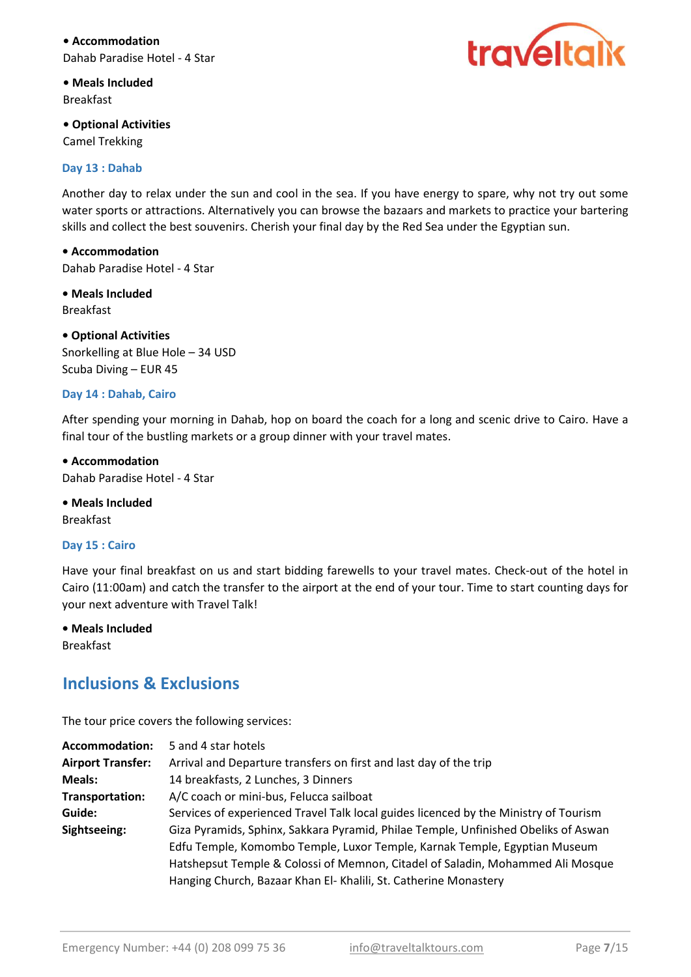• Accommodation Dahab Paradise Hotel - 4 Star



• Meals Included Breakfast

• **Optional Activities** Camel Trekking

#### Day 13 : Dahab

Another day to relax under the sun and cool in the sea. If you have energy to spare, why not try out some water sports or attractions. Alternatively you can browse the bazaars and markets to practice your bartering skills and collect the best souvenirs. Cherish your final day by the Red Sea under the Egyptian sun.

• Accommodation Dahab Paradise Hotel - 4 Star

• Meals Included Breakfast

• Optional Activities

Snorkelling at Blue Hole – 34 USD Scuba Diving – EUR 45

#### Day 14 : Dahab, Cairo

After spending your morning in Dahab, hop on board the coach for a long and scenic drive to Cairo. Have a final tour of the bustling markets or a group dinner with your travel mates.

• Accommodation Dahab Paradise Hotel - 4 Star

• Meals Included Breakfast

#### Day 15 : Cairo

Have your final breakfast on us and start bidding farewells to your travel mates. Check-out of the hotel in Cairo (11:00am) and catch the transfer to the airport at the end of your tour. Time to start counting days for your next adventure with Travel Talk!

• Meals Included Breakfast

## Inclusions & Exclusions

The tour price covers the following services:

| Services of experienced Travel Talk local guides licenced by the Ministry of Tourism |
|--------------------------------------------------------------------------------------|
| Giza Pyramids, Sphinx, Sakkara Pyramid, Philae Temple, Unfinished Obeliks of Aswan   |
| Edfu Temple, Komombo Temple, Luxor Temple, Karnak Temple, Egyptian Museum            |
| Hatshepsut Temple & Colossi of Memnon, Citadel of Saladin, Mohammed Ali Mosque       |
|                                                                                      |
|                                                                                      |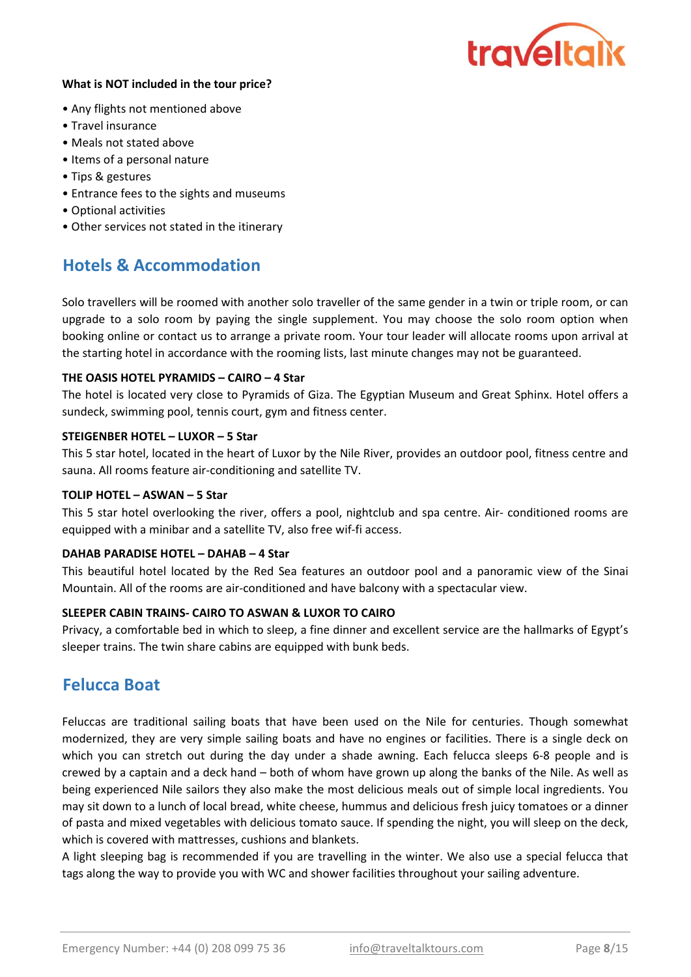

#### What is NOT included in the tour price?

- Any flights not mentioned above
- Travel insurance
- Meals not stated above
- Items of a personal nature
- Tips & gestures
- Entrance fees to the sights and museums
- Optional activities
- Other services not stated in the itinerary

## Hotels & Accommodation

Solo travellers will be roomed with another solo traveller of the same gender in a twin or triple room, or can upgrade to a solo room by paying the single supplement. You may choose the solo room option when booking online or contact us to arrange a private room. Your tour leader will allocate rooms upon arrival at the starting hotel in accordance with the rooming lists, last minute changes may not be guaranteed.

#### THE OASIS HOTEL PYRAMIDS – CAIRO – 4 Star

The hotel is located very close to Pyramids of Giza. The Egyptian Museum and Great Sphinx. Hotel offers a sundeck, swimming pool, tennis court, gym and fitness center.

#### STEIGENBER HOTEL – LUXOR – 5 Star

This 5 star hotel, located in the heart of Luxor by the Nile River, provides an outdoor pool, fitness centre and sauna. All rooms feature air-conditioning and satellite TV.

#### TOLIP HOTEL – ASWAN – 5 Star

This 5 star hotel overlooking the river, offers a pool, nightclub and spa centre. Air- conditioned rooms are equipped with a minibar and a satellite TV, also free wif-fi access.

#### DAHAB PARADISE HOTEL – DAHAB – 4 Star

This beautiful hotel located by the Red Sea features an outdoor pool and a panoramic view of the Sinai Mountain. All of the rooms are air-conditioned and have balcony with a spectacular view.

#### SLEEPER CABIN TRAINS- CAIRO TO ASWAN & LUXOR TO CAIRO

Privacy, a comfortable bed in which to sleep, a fine dinner and excellent service are the hallmarks of Egypt's sleeper trains. The twin share cabins are equipped with bunk beds.

## Felucca Boat

Feluccas are traditional sailing boats that have been used on the Nile for centuries. Though somewhat modernized, they are very simple sailing boats and have no engines or facilities. There is a single deck on which you can stretch out during the day under a shade awning. Each felucca sleeps 6-8 people and is crewed by a captain and a deck hand – both of whom have grown up along the banks of the Nile. As well as being experienced Nile sailors they also make the most delicious meals out of simple local ingredients. You may sit down to a lunch of local bread, white cheese, hummus and delicious fresh juicy tomatoes or a dinner of pasta and mixed vegetables with delicious tomato sauce. If spending the night, you will sleep on the deck, which is covered with mattresses, cushions and blankets.

A light sleeping bag is recommended if you are travelling in the winter. We also use a special felucca that tags along the way to provide you with WC and shower facilities throughout your sailing adventure.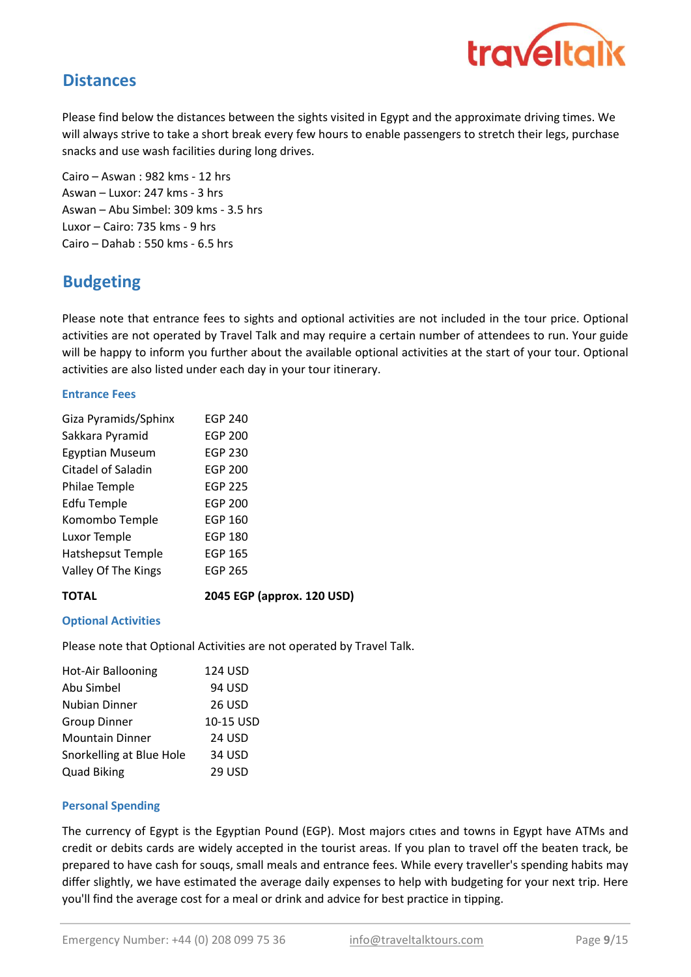

## **Distances**

Please find below the distances between the sights visited in Egypt and the approximate driving times. We will always strive to take a short break every few hours to enable passengers to stretch their legs, purchase snacks and use wash facilities during long drives.

Aswan – Abu Simbel: 309 kms - 3.5 hrs Luxor – Cairo: 735 kms - 9 hrs Cairo – Dahab : 550 kms - 6.5 hrs Cairo – Aswan : 982 kms - 12 hrs Aswan – Luxor: 247 kms - 3 hrs

# Budgeting

Please note that entrance fees to sights and optional activities are not included in the tour price. Optional activities are not operated by Travel Talk and may require a certain number of attendees to run. Your guide will be happy to inform you further about the available optional activities at the start of your tour. Optional activities are also listed under each day in your tour itinerary.

#### Entrance Fees

| Giza Pyramids/Sphinx     | <b>EGP 240</b> |  |
|--------------------------|----------------|--|
| Sakkara Pyramid          | <b>EGP 200</b> |  |
| Egyptian Museum          | <b>EGP 230</b> |  |
| Citadel of Saladin       | <b>EGP 200</b> |  |
| Philae Temple            | <b>EGP 225</b> |  |
| Edfu Temple              | <b>EGP 200</b> |  |
| Komombo Temple           | <b>EGP 160</b> |  |
| Luxor Temple             | <b>EGP 180</b> |  |
| <b>Hatshepsut Temple</b> | <b>EGP 165</b> |  |
| Valley Of The Kings      | <b>EGP 265</b> |  |
|                          |                |  |

#### TOTAL

**2045** EGP (approx. 120 USD)

#### Optional Activities

Please note that Optional Activities are not operated by Travel Talk.

| Hot-Air Ballooning       | 124 USD   |
|--------------------------|-----------|
| Abu Simbel               | 94 USD    |
| Nubian Dinner            | 26 USD    |
| <b>Group Dinner</b>      | 10-15 USD |
| <b>Mountain Dinner</b>   | 24 USD    |
| Snorkelling at Blue Hole | 34 USD    |
| <b>Quad Biking</b>       | 29 USD    |

#### Personal Spending

The currency of Egypt is the Egyptian Pound (EGP). Most majors cıtıes and towns in Egypt have ATMs and credit or debits cards are widely accepted in the tourist areas. If you plan to travel off the beaten track, be prepared to have cash for souqs, small meals and entrance fees. While every traveller's spending habits may differ slightly, we have estimated the average daily expenses to help with budgeting for your next trip. Here you'll find the average cost for a meal or drink and advice for best practice in tipping.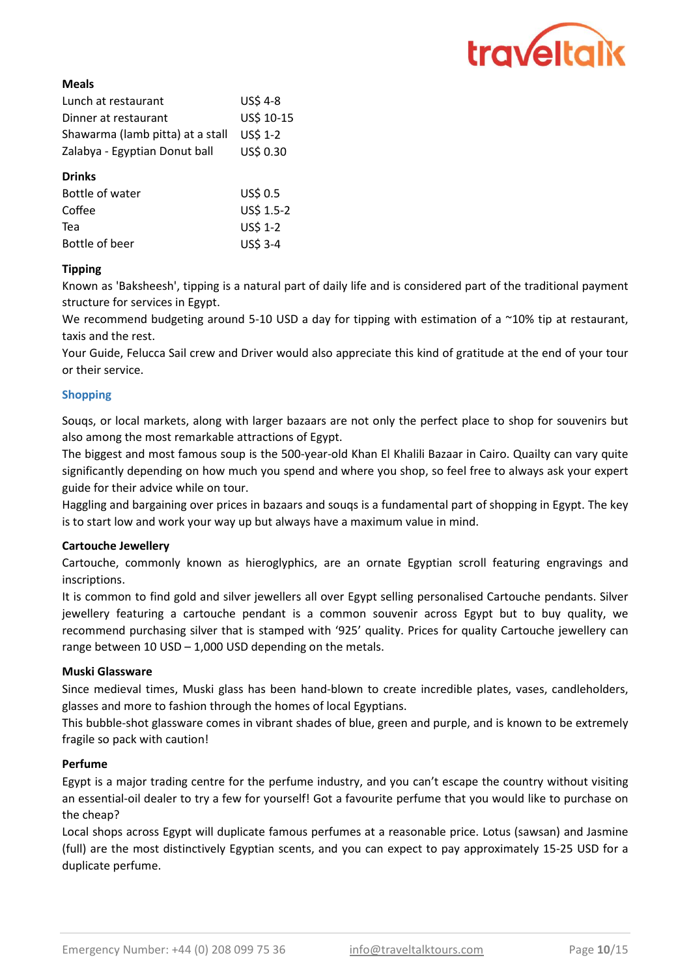

#### Meals

| Lunch at restaurant              | <b>US\$ 4-8</b>  |
|----------------------------------|------------------|
| Dinner at restaurant             | US\$ 10-15       |
| Shawarma (lamb pitta) at a stall | <b>USS 1-2</b>   |
| Zalabya - Egyptian Donut ball    | <b>US\$ 0.30</b> |

#### Drinks

| Bottle of water | US\$ 0.5   |
|-----------------|------------|
| Coffee          | US\$ 1.5-2 |
| Tea             | US\$ 1-2   |
| Bottle of beer  | US\$ 3-4   |

#### Tipping

Known as 'Baksheesh', tipping is a natural part of daily life and is considered part of the traditional payment structure for services in Egypt.

We recommend budgeting around 5-10 USD a day for tipping with estimation of a ~10% tip at restaurant, taxis and the rest.

Your Guide, Felucca Sail crew and Driver would also appreciate this kind of gratitude at the end of your tour or their service.

#### Shopping

Souqs, or local markets, along with larger bazaars are not only the perfect place to shop for souvenirs but also among the most remarkable attractions of Egypt.

The biggest and most famous soup is the 500-year-old Khan El Khalili Bazaar in Cairo. Quailty can vary quite significantly depending on how much you spend and where you shop, so feel free to always ask your expert guide for their advice while on tour.

Haggling and bargaining over prices in bazaars and souqs is a fundamental part of shopping in Egypt. The key is to start low and work your way up but always have a maximum value in mind.

#### Cartouche Jewellery

Cartouche, commonly known as hieroglyphics, are an ornate Egyptian scroll featuring engravings and inscriptions.

It is common to find gold and silver jewellers all over Egypt selling personalised Cartouche pendants. Silver jewellery featuring a cartouche pendant is a common souvenir across Egypt but to buy quality, we recommend purchasing silver that is stamped with '925' quality. Prices for quality Cartouche jewellery can range between 10 USD – 1,000 USD depending on the metals.

#### Muski Glassware

Since medieval times, Muski glass has been hand-blown to create incredible plates, vases, candleholders, glasses and more to fashion through the homes of local Egyptians.

This bubble-shot glassware comes in vibrant shades of blue, green and purple, and is known to be extremely fragile so pack with caution!

#### Perfume

Egypt is a major trading centre for the perfume industry, and you can't escape the country without visiting an essential-oil dealer to try a few for yourself! Got a favourite perfume that you would like to purchase on the cheap?

Local shops across Egypt will duplicate famous perfumes at a reasonable price. Lotus (sawsan) and Jasmine (full) are the most distinctively Egyptian scents, and you can expect to pay approximately 15-25 USD for a duplicate perfume.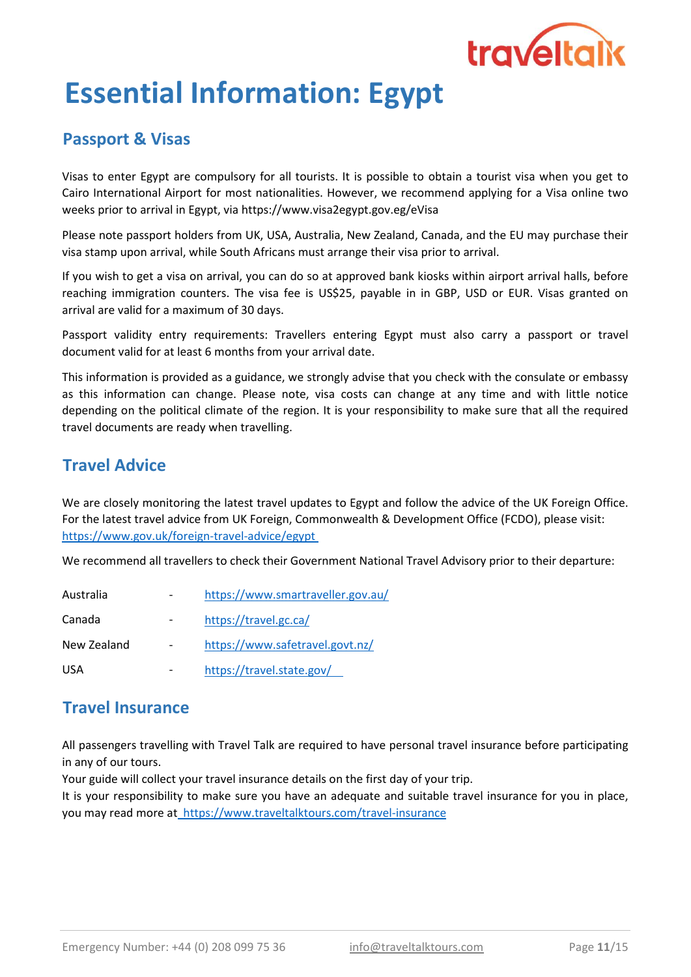

# Essential Information: Egypt

# Passport & Visas

Visas to enter Egypt are compulsory for all tourists. It is possible to obtain a tourist visa when you get to Cairo International Airport for most nationalities. However, we recommend applying for a Visa online two weeks prior to arrival in Egypt, via https://www.visa2egypt.gov.eg/eVisa

Please note passport holders from UK, USA, Australia, New Zealand, Canada, and the EU may purchase their visa stamp upon arrival, while South Africans must arrange their visa prior to arrival.

If you wish to get a visa on arrival, you can do so at approved bank kiosks within airport arrival halls, before reaching immigration counters. The visa fee is US\$25, payable in in GBP, USD or EUR. Visas granted on arrival are valid for a maximum of 30 days.

Passport validity entry requirements: Travellers entering Egypt must also carry a passport or travel document valid for at least 6 months from your arrival date.

This information is provided as a guidance, we strongly advise that you check with the consulate or embassy as this information can change. Please note, visa costs can change at any time and with little notice depending on the political climate of the region. It is your responsibility to make sure that all the required travel documents are ready when travelling.

## Travel Advice

https://www.gov.uk/foreign-travel-advice/egypt We are closely monitoring the latest travel updates to Egypt and follow the advice of the UK Foreign Office. For the latest travel advice from UK Foreign, Commonwealth & Development Office (FCDO), please visit:

We recommend all travellers to check their Government National Travel Advisory prior to their departure:

| Australia   | https://www.smartraveller.gov.au/ |
|-------------|-----------------------------------|
| Canada      | https://travel.gc.ca/             |
| New Zealand | https://www.safetravel.govt.nz/   |
| <b>USA</b>  | https://travel.state.gov/         |

## Travel Insurance

All passengers travelling with Travel Talk are required to have personal travel insurance before participating in any of our tours.

Your guide will collect your travel insurance details on the first day of your trip.

It is your responsibility to make sure you have an adequate and suitable travel insurance for you in place, you may read more at https://www.traveltalktours.com/travel-insurance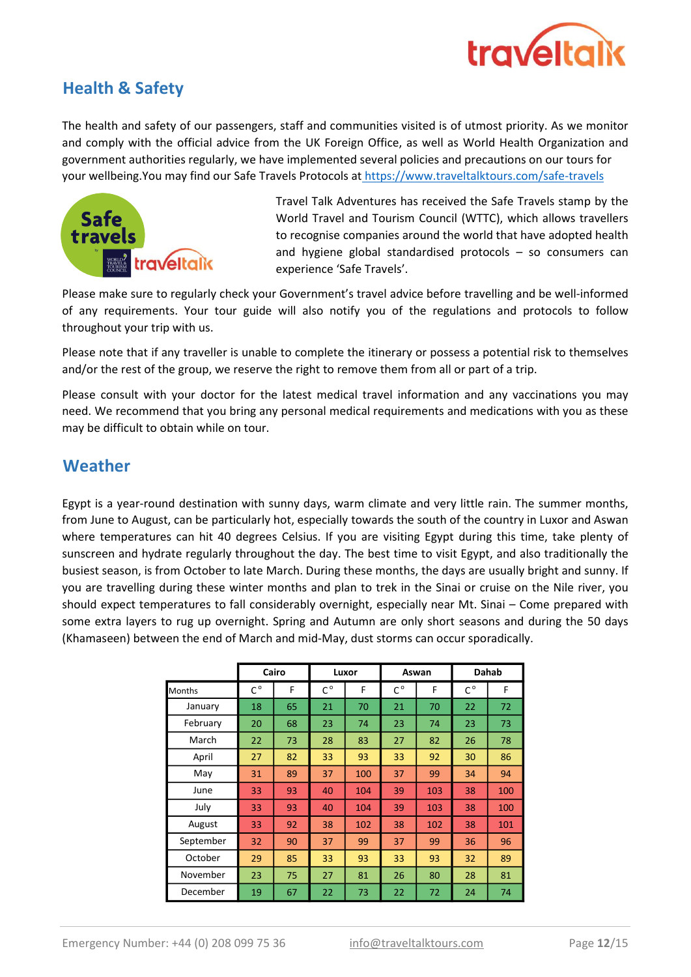

# Health & Safety

your wellbeing.You may find our Safe Travels Protocols at https://www.traveltalktours.com/safe-travels The health and safety of our passengers, staff and communities visited is of utmost priority. As we monitor and comply with the official advice from the UK Foreign Office, as well as World Health Organization and government authorities regularly, we have implemented several policies and precautions on our tours for



Travel Talk Adventures has received the Safe Travels stamp by the World Travel and Tourism Council (WTTC), which allows travellers to recognise companies around the world that have adopted health and hygiene global standardised protocols – so consumers can experience 'Safe Travels'.

Please make sure to regularly check your Government's travel advice before travelling and be well-informed of any requirements. Your tour guide will also notify you of the regulations and protocols to follow throughout your trip with us.

Please note that if any traveller is unable to complete the itinerary or possess a potential risk to themselves and/or the rest of the group, we reserve the right to remove them from all or part of a trip.

Please consult with your doctor for the latest medical travel information and any vaccinations you may need. We recommend that you bring any personal medical requirements and medications with you as these may be difficult to obtain while on tour.

## **Weather**

Egypt is a year-round destination with sunny days, warm climate and very little rain. The summer months, from June to August, can be particularly hot, especially towards the south of the country in Luxor and Aswan where temperatures can hit 40 degrees Celsius. If you are visiting Egypt during this time, take plenty of sunscreen and hydrate regularly throughout the day. The best time to visit Egypt, and also traditionally the busiest season, is from October to late March. During these months, the days are usually bright and sunny. If you are travelling during these winter months and plan to trek in the Sinai or cruise on the Nile river, you should expect temperatures to fall considerably overnight, especially near Mt. Sinai – Come prepared with some extra layers to rug up overnight. Spring and Autumn are only short seasons and during the 50 days (Khamaseen) between the end of March and mid-May, dust storms can occur sporadically.

|               |             | Cairo | Luxor       |     | Aswan       |     | Dahab       |     |
|---------------|-------------|-------|-------------|-----|-------------|-----|-------------|-----|
| <b>Months</b> | $C^{\circ}$ | F     | $C^{\circ}$ | F   | $C^{\circ}$ | F   | $C^{\circ}$ | F   |
| January       | 18          | 65    | 21          | 70  | 21          | 70  | 22          | 72  |
| February      | 20          | 68    | 23          | 74  | 23          | 74  | 23          | 73  |
| March         | 22          | 73    | 28          | 83  | 27          | 82  | 26          | 78  |
| April         | 27          | 82    | 33          | 93  | 33          | 92  | 30          | 86  |
| May           | 31          | 89    | 37          | 100 | 37          | 99  | 34          | 94  |
| June          | 33          | 93    | 40          | 104 | 39          | 103 | 38          | 100 |
| July          | 33          | 93    | 40          | 104 | 39          | 103 | 38          | 100 |
| August        | 33          | 92    | 38          | 102 | 38          | 102 | 38          | 101 |
| September     | 32          | 90    | 37          | 99  | 37          | 99  | 36          | 96  |
| October       | 29          | 85    | 33          | 93  | 33          | 93  | 32          | 89  |
| November      | 23          | 75    | 27          | 81  | 26          | 80  | 28          | 81  |
| December      | 19          | 67    | 22          | 73  | 22          | 72  | 24          | 74  |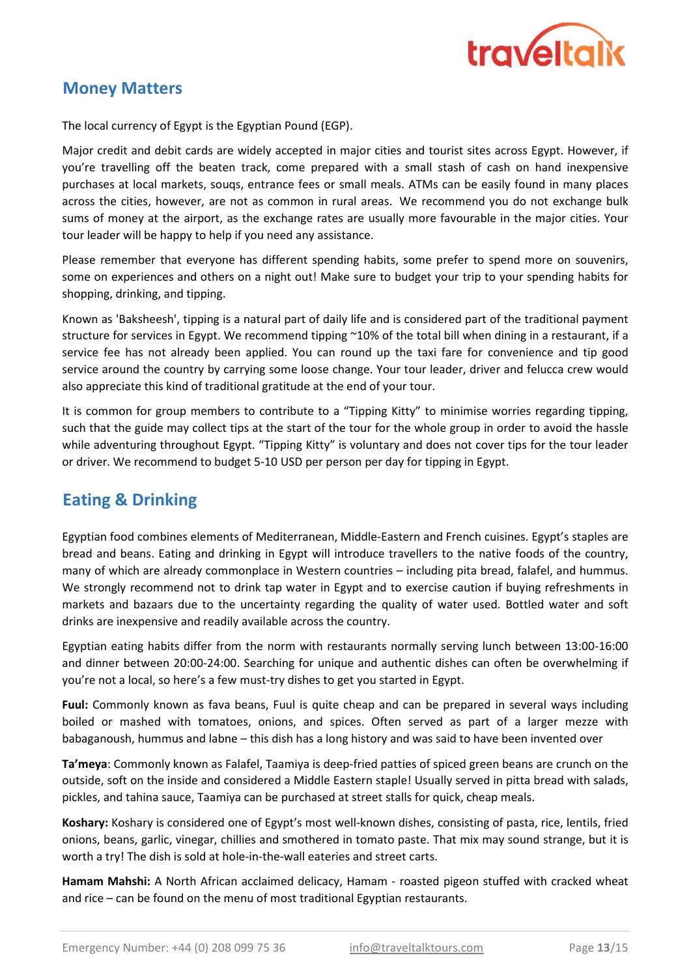

## Money Matters

The local currency of Egypt is the Egyptian Pound (EGP).

Major credit and debit cards are widely accepted in major cities and tourist sites across Egypt. However, if you're travelling off the beaten track, come prepared with a small stash of cash on hand inexpensive purchases at local markets, souqs, entrance fees or small meals. ATMs can be easily found in many places across the cities, however, are not as common in rural areas. We recommend you do not exchange bulk sums of money at the airport, as the exchange rates are usually more favourable in the major cities. Your tour leader will be happy to help if you need any assistance.

Please remember that everyone has different spending habits, some prefer to spend more on souvenirs, some on experiences and others on a night out! Make sure to budget your trip to your spending habits for shopping, drinking, and tipping.

Known as 'Baksheesh', tipping is a natural part of daily life and is considered part of the traditional payment structure for services in Egypt. We recommend tipping ~10% of the total bill when dining in a restaurant, if a service fee has not already been applied. You can round up the taxi fare for convenience and tip good service around the country by carrying some loose change. Your tour leader, driver and felucca crew would also appreciate this kind of traditional gratitude at the end of your tour.

It is common for group members to contribute to a "Tipping Kitty" to minimise worries regarding tipping, such that the guide may collect tips at the start of the tour for the whole group in order to avoid the hassle while adventuring throughout Egypt. "Tipping Kitty" is voluntary and does not cover tips for the tour leader or driver. We recommend to budget 5-10 USD per person per day for tipping in Egypt.

# Eating & Drinking

Egyptian food combines elements of Mediterranean, Middle-Eastern and French cuisines. Egypt's staples are bread and beans. Eating and drinking in Egypt will introduce travellers to the native foods of the country, many of which are already commonplace in Western countries – including pita bread, falafel, and hummus. We strongly recommend not to drink tap water in Egypt and to exercise caution if buying refreshments in markets and bazaars due to the uncertainty regarding the quality of water used. Bottled water and soft drinks are inexpensive and readily available across the country.

Egyptian eating habits differ from the norm with restaurants normally serving lunch between 13:00-16:00 and dinner between 20:00-24:00. Searching for unique and authentic dishes can often be overwhelming if you're not a local, so here's a few must-try dishes to get you started in Egypt.

Fuul: Commonly known as fava beans, Fuul is quite cheap and can be prepared in several ways including boiled or mashed with tomatoes, onions, and spices. Often served as part of a larger mezze with babaganoush, hummus and labne – this dish has a long history and was said to have been invented over

Ta'meya: Commonly known as Falafel, Taamiya is deep-fried patties of spiced green beans are crunch on the outside, soft on the inside and considered a Middle Eastern staple! Usually served in pitta bread with salads, pickles, and tahina sauce, Taamiya can be purchased at street stalls for quick, cheap meals.

Koshary: Koshary is considered one of Egypt's most well-known dishes, consisting of pasta, rice, lentils, fried onions, beans, garlic, vinegar, chillies and smothered in tomato paste. That mix may sound strange, but it is worth a try! The dish is sold at hole-in-the-wall eateries and street carts.

Hamam Mahshi: A North African acclaimed delicacy, Hamam - roasted pigeon stuffed with cracked wheat and rice – can be found on the menu of most traditional Egyptian restaurants.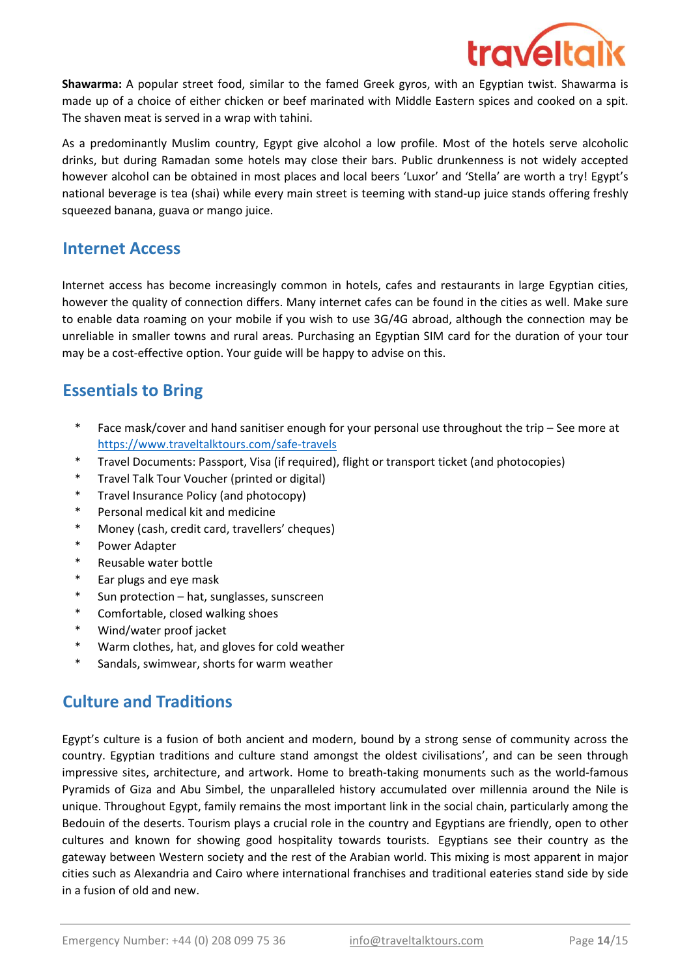

Shawarma: A popular street food, similar to the famed Greek gyros, with an Egyptian twist. Shawarma is made up of a choice of either chicken or beef marinated with Middle Eastern spices and cooked on a spit. The shaven meat is served in a wrap with tahini.

As a predominantly Muslim country, Egypt give alcohol a low profile. Most of the hotels serve alcoholic drinks, but during Ramadan some hotels may close their bars. Public drunkenness is not widely accepted however alcohol can be obtained in most places and local beers 'Luxor' and 'Stella' are worth a try! Egypt's national beverage is tea (shai) while every main street is teeming with stand-up juice stands offering freshly squeezed banana, guava or mango juice.

### Internet Access

Internet access has become increasingly common in hotels, cafes and restaurants in large Egyptian cities, however the quality of connection differs. Many internet cafes can be found in the cities as well. Make sure to enable data roaming on your mobile if you wish to use 3G/4G abroad, although the connection may be unreliable in smaller towns and rural areas. Purchasing an Egyptian SIM card for the duration of your tour may be a cost-effective option. Your guide will be happy to advise on this.

# Essentials to Bring

- \* https://www.traveltalktours.com/safe-travels Face mask/cover and hand sanitiser enough for your personal use throughout the trip – See more at
- \* Travel Documents: Passport, Visa (if required), flight or transport ticket (and photocopies)
- \* Travel Talk Tour Voucher (printed or digital)
- \* Travel Insurance Policy (and photocopy)
- \* Personal medical kit and medicine
- \* Money (cash, credit card, travellers' cheques)
- \* Power Adapter
- \* Reusable water bottle
- \* Ear plugs and eye mask
- \* Sun protection – hat, sunglasses, sunscreen
- \* Comfortable, closed walking shoes
- \* Wind/water proof jacket
- \* Warm clothes, hat, and gloves for cold weather
- \* Sandals, swimwear, shorts for warm weather

# **Culture and Traditions**

Egypt's culture is a fusion of both ancient and modern, bound by a strong sense of community across the country. Egyptian traditions and culture stand amongst the oldest civilisations', and can be seen through impressive sites, architecture, and artwork. Home to breath-taking monuments such as the world-famous Pyramids of Giza and Abu Simbel, the unparalleled history accumulated over millennia around the Nile is unique. Throughout Egypt, family remains the most important link in the social chain, particularly among the Bedouin of the deserts. Tourism plays a crucial role in the country and Egyptians are friendly, open to other cultures and known for showing good hospitality towards tourists. Egyptians see their country as the gateway between Western society and the rest of the Arabian world. This mixing is most apparent in major cities such as Alexandria and Cairo where international franchises and traditional eateries stand side by side in a fusion of old and new.